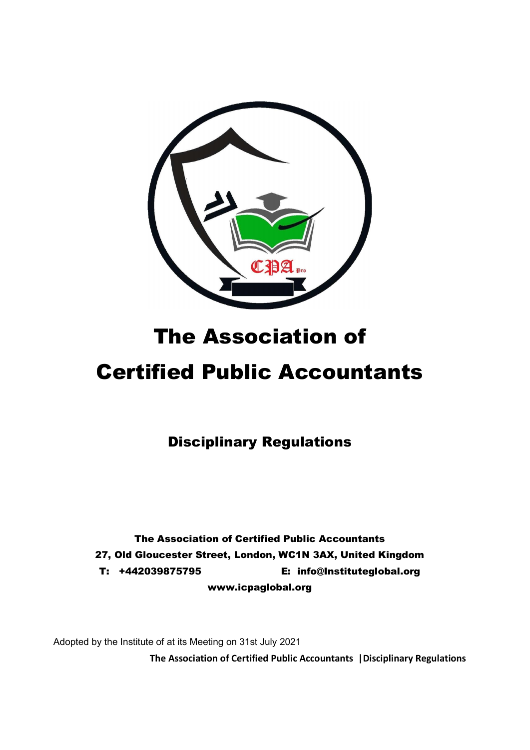

# The Association of

# Certified Public Accountants

Disciplinary Regulations

The Association of Certified Public Accountants 27, Old Gloucester Street, London, WC1N 3AX, United Kingdom T: +442039875795 E: info@Instituteglobal.org www.icpaglobal.org

Adopted by the Institute of at its Meeting on 31st July 2021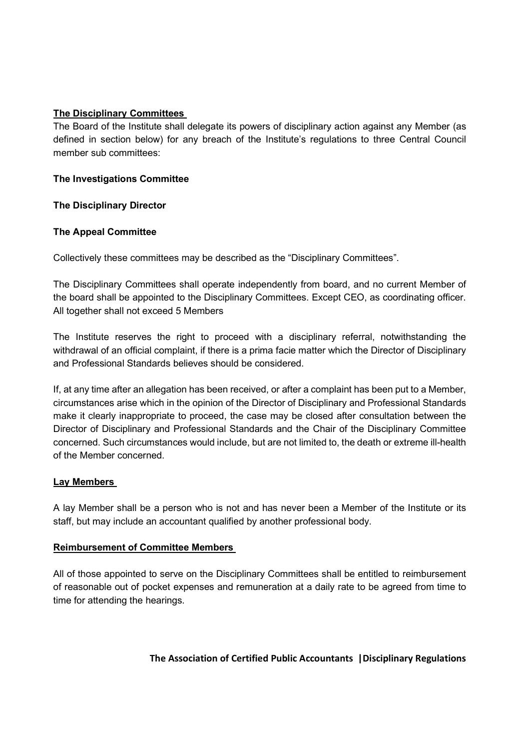# The Disciplinary Committees

The Board of the Institute shall delegate its powers of disciplinary action against any Member (as defined in section below) for any breach of the Institute's regulations to three Central Council member sub committees:

# The Investigations Committee

The Disciplinary Director

# The Appeal Committee

Collectively these committees may be described as the "Disciplinary Committees".

The Disciplinary Committees shall operate independently from board, and no current Member of the board shall be appointed to the Disciplinary Committees. Except CEO, as coordinating officer. All together shall not exceed 5 Members

The Institute reserves the right to proceed with a disciplinary referral, notwithstanding the withdrawal of an official complaint, if there is a prima facie matter which the Director of Disciplinary and Professional Standards believes should be considered.

If, at any time after an allegation has been received, or after a complaint has been put to a Member, circumstances arise which in the opinion of the Director of Disciplinary and Professional Standards make it clearly inappropriate to proceed, the case may be closed after consultation between the Director of Disciplinary and Professional Standards and the Chair of the Disciplinary Committee concerned. Such circumstances would include, but are not limited to, the death or extreme ill-health of the Member concerned.

# Lay Members

A lay Member shall be a person who is not and has never been a Member of the Institute or its staff, but may include an accountant qualified by another professional body.

# Reimbursement of Committee Members

All of those appointed to serve on the Disciplinary Committees shall be entitled to reimbursement of reasonable out of pocket expenses and remuneration at a daily rate to be agreed from time to time for attending the hearings.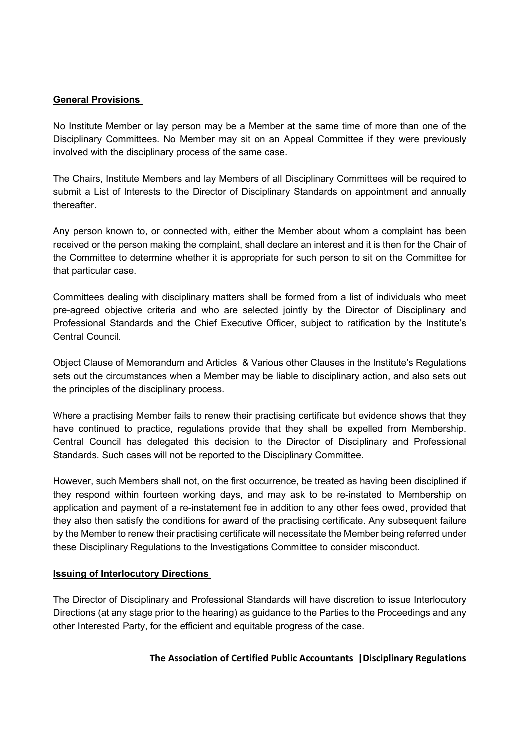### General Provisions

No Institute Member or lay person may be a Member at the same time of more than one of the Disciplinary Committees. No Member may sit on an Appeal Committee if they were previously involved with the disciplinary process of the same case.

The Chairs, Institute Members and lay Members of all Disciplinary Committees will be required to submit a List of Interests to the Director of Disciplinary Standards on appointment and annually thereafter.

Any person known to, or connected with, either the Member about whom a complaint has been received or the person making the complaint, shall declare an interest and it is then for the Chair of the Committee to determine whether it is appropriate for such person to sit on the Committee for that particular case.

Committees dealing with disciplinary matters shall be formed from a list of individuals who meet pre-agreed objective criteria and who are selected jointly by the Director of Disciplinary and Professional Standards and the Chief Executive Officer, subject to ratification by the Institute's Central Council.

Object Clause of Memorandum and Articles & Various other Clauses in the Institute's Regulations sets out the circumstances when a Member may be liable to disciplinary action, and also sets out the principles of the disciplinary process.

Where a practising Member fails to renew their practising certificate but evidence shows that they have continued to practice, regulations provide that they shall be expelled from Membership. Central Council has delegated this decision to the Director of Disciplinary and Professional Standards. Such cases will not be reported to the Disciplinary Committee.

However, such Members shall not, on the first occurrence, be treated as having been disciplined if they respond within fourteen working days, and may ask to be re-instated to Membership on application and payment of a re-instatement fee in addition to any other fees owed, provided that they also then satisfy the conditions for award of the practising certificate. Any subsequent failure by the Member to renew their practising certificate will necessitate the Member being referred under these Disciplinary Regulations to the Investigations Committee to consider misconduct.

#### Issuing of Interlocutory Directions

The Director of Disciplinary and Professional Standards will have discretion to issue Interlocutory Directions (at any stage prior to the hearing) as guidance to the Parties to the Proceedings and any other Interested Party, for the efficient and equitable progress of the case.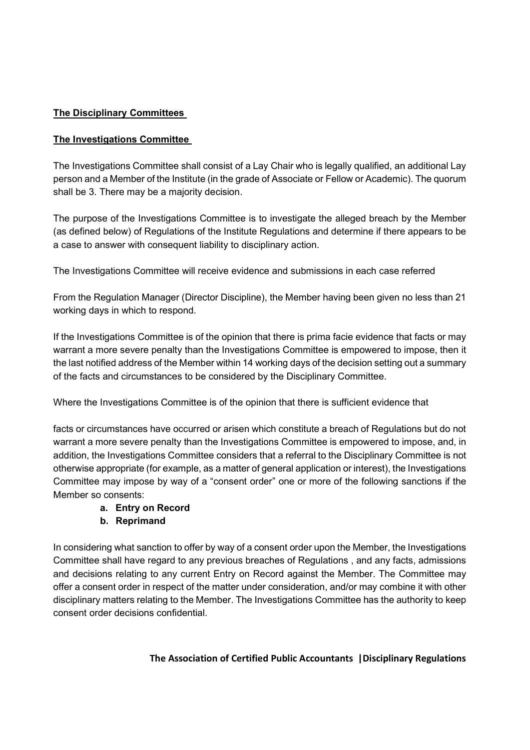# The Disciplinary Committees

# The Investigations Committee

The Investigations Committee shall consist of a Lay Chair who is legally qualified, an additional Lay person and a Member of the Institute (in the grade of Associate or Fellow or Academic). The quorum shall be 3. There may be a majority decision.

The purpose of the Investigations Committee is to investigate the alleged breach by the Member (as defined below) of Regulations of the Institute Regulations and determine if there appears to be a case to answer with consequent liability to disciplinary action.

The Investigations Committee will receive evidence and submissions in each case referred

From the Regulation Manager (Director Discipline), the Member having been given no less than 21 working days in which to respond.

If the Investigations Committee is of the opinion that there is prima facie evidence that facts or may warrant a more severe penalty than the Investigations Committee is empowered to impose, then it the last notified address of the Member within 14 working days of the decision setting out a summary of the facts and circumstances to be considered by the Disciplinary Committee.

Where the Investigations Committee is of the opinion that there is sufficient evidence that

facts or circumstances have occurred or arisen which constitute a breach of Regulations but do not warrant a more severe penalty than the Investigations Committee is empowered to impose, and, in addition, the Investigations Committee considers that a referral to the Disciplinary Committee is not otherwise appropriate (for example, as a matter of general application or interest), the Investigations Committee may impose by way of a "consent order" one or more of the following sanctions if the Member so consents:

# a. Entry on Record

# b. Reprimand

In considering what sanction to offer by way of a consent order upon the Member, the Investigations Committee shall have regard to any previous breaches of Regulations , and any facts, admissions and decisions relating to any current Entry on Record against the Member. The Committee may offer a consent order in respect of the matter under consideration, and/or may combine it with other disciplinary matters relating to the Member. The Investigations Committee has the authority to keep consent order decisions confidential.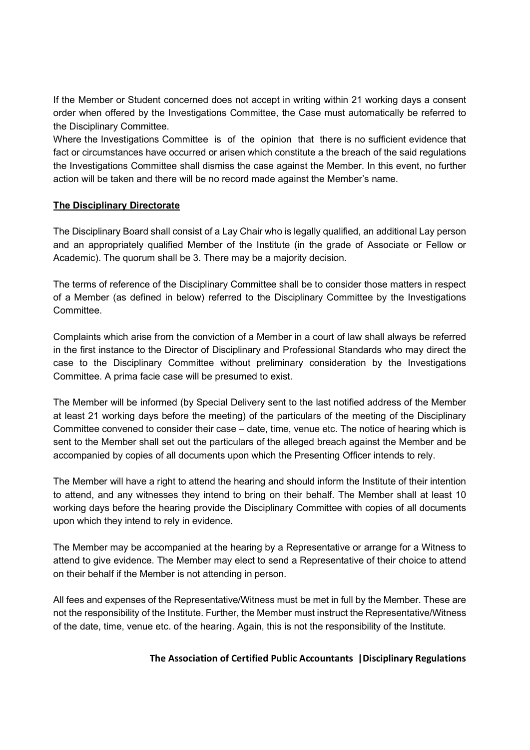If the Member or Student concerned does not accept in writing within 21 working days a consent order when offered by the Investigations Committee, the Case must automatically be referred to the Disciplinary Committee.

Where the Investigations Committee is of the opinion that there is no sufficient evidence that fact or circumstances have occurred or arisen which constitute a the breach of the said regulations the Investigations Committee shall dismiss the case against the Member. In this event, no further action will be taken and there will be no record made against the Member's name.

#### The Disciplinary Directorate

The Disciplinary Board shall consist of a Lay Chair who is legally qualified, an additional Lay person and an appropriately qualified Member of the Institute (in the grade of Associate or Fellow or Academic). The quorum shall be 3. There may be a majority decision.

The terms of reference of the Disciplinary Committee shall be to consider those matters in respect of a Member (as defined in below) referred to the Disciplinary Committee by the Investigations **Committee.** 

Complaints which arise from the conviction of a Member in a court of law shall always be referred in the first instance to the Director of Disciplinary and Professional Standards who may direct the case to the Disciplinary Committee without preliminary consideration by the Investigations Committee. A prima facie case will be presumed to exist.

The Member will be informed (by Special Delivery sent to the last notified address of the Member at least 21 working days before the meeting) of the particulars of the meeting of the Disciplinary Committee convened to consider their case – date, time, venue etc. The notice of hearing which is sent to the Member shall set out the particulars of the alleged breach against the Member and be accompanied by copies of all documents upon which the Presenting Officer intends to rely.

The Member will have a right to attend the hearing and should inform the Institute of their intention to attend, and any witnesses they intend to bring on their behalf. The Member shall at least 10 working days before the hearing provide the Disciplinary Committee with copies of all documents upon which they intend to rely in evidence.

The Member may be accompanied at the hearing by a Representative or arrange for a Witness to attend to give evidence. The Member may elect to send a Representative of their choice to attend on their behalf if the Member is not attending in person.

All fees and expenses of the Representative/Witness must be met in full by the Member. These are not the responsibility of the Institute. Further, the Member must instruct the Representative/Witness of the date, time, venue etc. of the hearing. Again, this is not the responsibility of the Institute.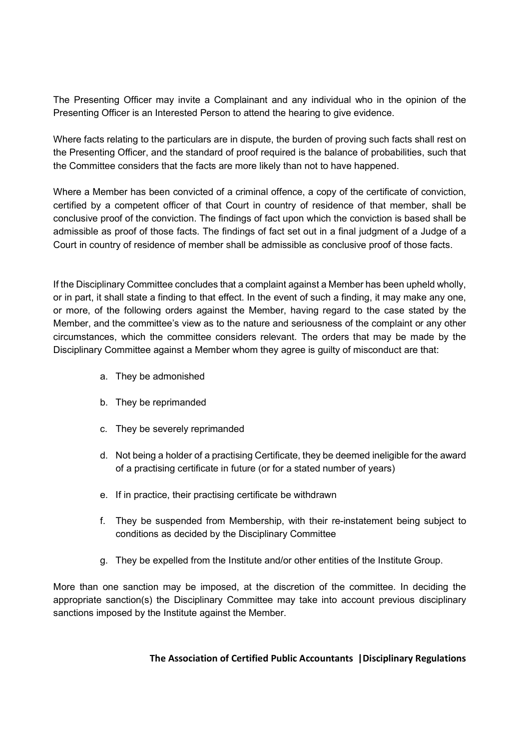The Presenting Officer may invite a Complainant and any individual who in the opinion of the Presenting Officer is an Interested Person to attend the hearing to give evidence.

Where facts relating to the particulars are in dispute, the burden of proving such facts shall rest on the Presenting Officer, and the standard of proof required is the balance of probabilities, such that the Committee considers that the facts are more likely than not to have happened.

Where a Member has been convicted of a criminal offence, a copy of the certificate of conviction, certified by a competent officer of that Court in country of residence of that member, shall be conclusive proof of the conviction. The findings of fact upon which the conviction is based shall be admissible as proof of those facts. The findings of fact set out in a final judgment of a Judge of a Court in country of residence of member shall be admissible as conclusive proof of those facts.

If the Disciplinary Committee concludes that a complaint against a Member has been upheld wholly, or in part, it shall state a finding to that effect. In the event of such a finding, it may make any one, or more, of the following orders against the Member, having regard to the case stated by the Member, and the committee's view as to the nature and seriousness of the complaint or any other circumstances, which the committee considers relevant. The orders that may be made by the Disciplinary Committee against a Member whom they agree is guilty of misconduct are that:

- a. They be admonished
- b. They be reprimanded
- c. They be severely reprimanded
- d. Not being a holder of a practising Certificate, they be deemed ineligible for the award of a practising certificate in future (or for a stated number of years)
- e. If in practice, their practising certificate be withdrawn
- f. They be suspended from Membership, with their re-instatement being subject to conditions as decided by the Disciplinary Committee
- g. They be expelled from the Institute and/or other entities of the Institute Group.

More than one sanction may be imposed, at the discretion of the committee. In deciding the appropriate sanction(s) the Disciplinary Committee may take into account previous disciplinary sanctions imposed by the Institute against the Member.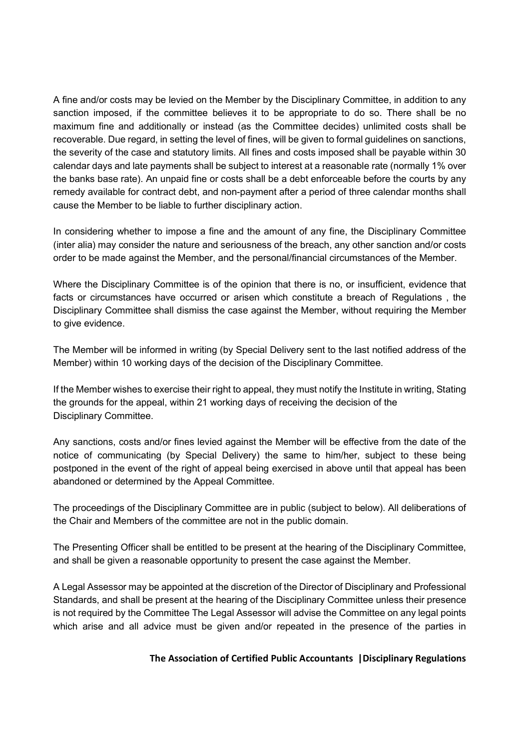A fine and/or costs may be levied on the Member by the Disciplinary Committee, in addition to any sanction imposed, if the committee believes it to be appropriate to do so. There shall be no maximum fine and additionally or instead (as the Committee decides) unlimited costs shall be recoverable. Due regard, in setting the level of fines, will be given to formal guidelines on sanctions, the severity of the case and statutory limits. All fines and costs imposed shall be payable within 30 calendar days and late payments shall be subject to interest at a reasonable rate (normally 1% over the banks base rate). An unpaid fine or costs shall be a debt enforceable before the courts by any remedy available for contract debt, and non-payment after a period of three calendar months shall cause the Member to be liable to further disciplinary action.

In considering whether to impose a fine and the amount of any fine, the Disciplinary Committee (inter alia) may consider the nature and seriousness of the breach, any other sanction and/or costs order to be made against the Member, and the personal/financial circumstances of the Member.

Where the Disciplinary Committee is of the opinion that there is no, or insufficient, evidence that facts or circumstances have occurred or arisen which constitute a breach of Regulations , the Disciplinary Committee shall dismiss the case against the Member, without requiring the Member to give evidence.

The Member will be informed in writing (by Special Delivery sent to the last notified address of the Member) within 10 working days of the decision of the Disciplinary Committee.

If the Member wishes to exercise their right to appeal, they must notify the Institute in writing, Stating the grounds for the appeal, within 21 working days of receiving the decision of the Disciplinary Committee.

Any sanctions, costs and/or fines levied against the Member will be effective from the date of the notice of communicating (by Special Delivery) the same to him/her, subject to these being postponed in the event of the right of appeal being exercised in above until that appeal has been abandoned or determined by the Appeal Committee.

The proceedings of the Disciplinary Committee are in public (subject to below). All deliberations of the Chair and Members of the committee are not in the public domain.

The Presenting Officer shall be entitled to be present at the hearing of the Disciplinary Committee, and shall be given a reasonable opportunity to present the case against the Member.

A Legal Assessor may be appointed at the discretion of the Director of Disciplinary and Professional Standards, and shall be present at the hearing of the Disciplinary Committee unless their presence is not required by the Committee The Legal Assessor will advise the Committee on any legal points which arise and all advice must be given and/or repeated in the presence of the parties in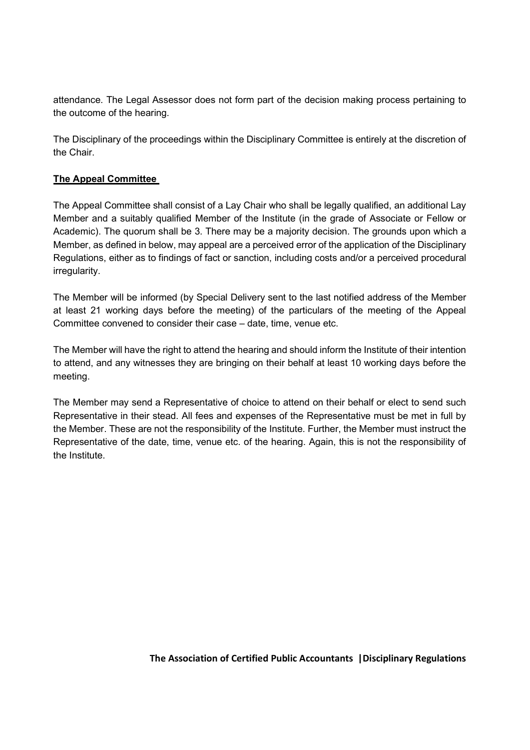attendance. The Legal Assessor does not form part of the decision making process pertaining to the outcome of the hearing.

The Disciplinary of the proceedings within the Disciplinary Committee is entirely at the discretion of the Chair.

# The Appeal Committee

The Appeal Committee shall consist of a Lay Chair who shall be legally qualified, an additional Lay Member and a suitably qualified Member of the Institute (in the grade of Associate or Fellow or Academic). The quorum shall be 3. There may be a majority decision. The grounds upon which a Member, as defined in below, may appeal are a perceived error of the application of the Disciplinary Regulations, either as to findings of fact or sanction, including costs and/or a perceived procedural irregularity.

The Member will be informed (by Special Delivery sent to the last notified address of the Member at least 21 working days before the meeting) of the particulars of the meeting of the Appeal Committee convened to consider their case – date, time, venue etc.

The Member will have the right to attend the hearing and should inform the Institute of their intention to attend, and any witnesses they are bringing on their behalf at least 10 working days before the meeting.

The Member may send a Representative of choice to attend on their behalf or elect to send such Representative in their stead. All fees and expenses of the Representative must be met in full by the Member. These are not the responsibility of the Institute. Further, the Member must instruct the Representative of the date, time, venue etc. of the hearing. Again, this is not the responsibility of the Institute.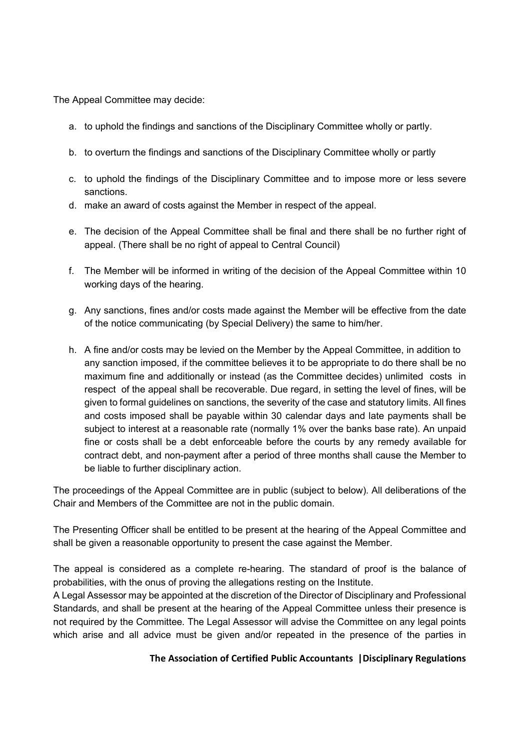The Appeal Committee may decide:

- a. to uphold the findings and sanctions of the Disciplinary Committee wholly or partly.
- b. to overturn the findings and sanctions of the Disciplinary Committee wholly or partly
- c. to uphold the findings of the Disciplinary Committee and to impose more or less severe sanctions.
- d. make an award of costs against the Member in respect of the appeal.
- e. The decision of the Appeal Committee shall be final and there shall be no further right of appeal. (There shall be no right of appeal to Central Council)
- f. The Member will be informed in writing of the decision of the Appeal Committee within 10 working days of the hearing.
- g. Any sanctions, fines and/or costs made against the Member will be effective from the date of the notice communicating (by Special Delivery) the same to him/her.
- h. A fine and/or costs may be levied on the Member by the Appeal Committee, in addition to any sanction imposed, if the committee believes it to be appropriate to do there shall be no maximum fine and additionally or instead (as the Committee decides) unlimited costs in respect of the appeal shall be recoverable. Due regard, in setting the level of fines, will be given to formal guidelines on sanctions, the severity of the case and statutory limits. All fines and costs imposed shall be payable within 30 calendar days and late payments shall be subject to interest at a reasonable rate (normally 1% over the banks base rate). An unpaid fine or costs shall be a debt enforceable before the courts by any remedy available for contract debt, and non-payment after a period of three months shall cause the Member to be liable to further disciplinary action.

The proceedings of the Appeal Committee are in public (subject to below). All deliberations of the Chair and Members of the Committee are not in the public domain.

The Presenting Officer shall be entitled to be present at the hearing of the Appeal Committee and shall be given a reasonable opportunity to present the case against the Member.

The appeal is considered as a complete re-hearing. The standard of proof is the balance of probabilities, with the onus of proving the allegations resting on the Institute.

A Legal Assessor may be appointed at the discretion of the Director of Disciplinary and Professional Standards, and shall be present at the hearing of the Appeal Committee unless their presence is not required by the Committee. The Legal Assessor will advise the Committee on any legal points which arise and all advice must be given and/or repeated in the presence of the parties in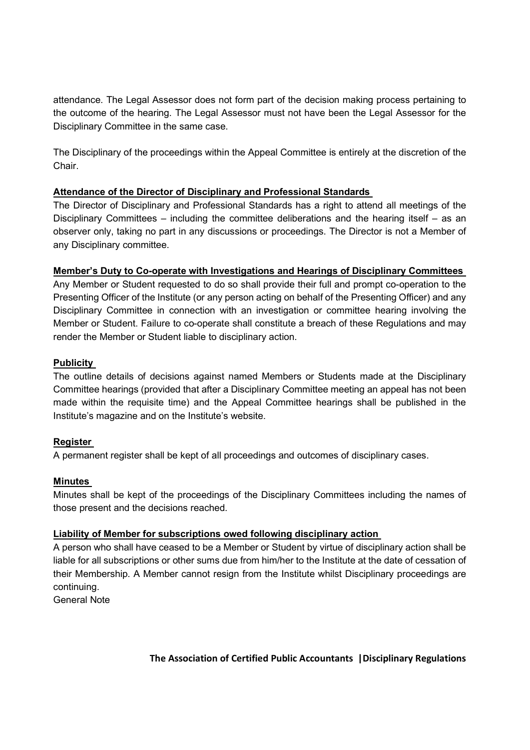attendance. The Legal Assessor does not form part of the decision making process pertaining to the outcome of the hearing. The Legal Assessor must not have been the Legal Assessor for the Disciplinary Committee in the same case.

The Disciplinary of the proceedings within the Appeal Committee is entirely at the discretion of the Chair.

# Attendance of the Director of Disciplinary and Professional Standards

The Director of Disciplinary and Professional Standards has a right to attend all meetings of the Disciplinary Committees – including the committee deliberations and the hearing itself – as an observer only, taking no part in any discussions or proceedings. The Director is not a Member of any Disciplinary committee.

# Member's Duty to Co-operate with Investigations and Hearings of Disciplinary Committees

Any Member or Student requested to do so shall provide their full and prompt co-operation to the Presenting Officer of the Institute (or any person acting on behalf of the Presenting Officer) and any Disciplinary Committee in connection with an investigation or committee hearing involving the Member or Student. Failure to co-operate shall constitute a breach of these Regulations and may render the Member or Student liable to disciplinary action.

# **Publicity**

The outline details of decisions against named Members or Students made at the Disciplinary Committee hearings (provided that after a Disciplinary Committee meeting an appeal has not been made within the requisite time) and the Appeal Committee hearings shall be published in the Institute's magazine and on the Institute's website.

# Register

A permanent register shall be kept of all proceedings and outcomes of disciplinary cases.

# Minutes

Minutes shall be kept of the proceedings of the Disciplinary Committees including the names of those present and the decisions reached.

# Liability of Member for subscriptions owed following disciplinary action

A person who shall have ceased to be a Member or Student by virtue of disciplinary action shall be liable for all subscriptions or other sums due from him/her to the Institute at the date of cessation of their Membership. A Member cannot resign from the Institute whilst Disciplinary proceedings are continuing.

General Note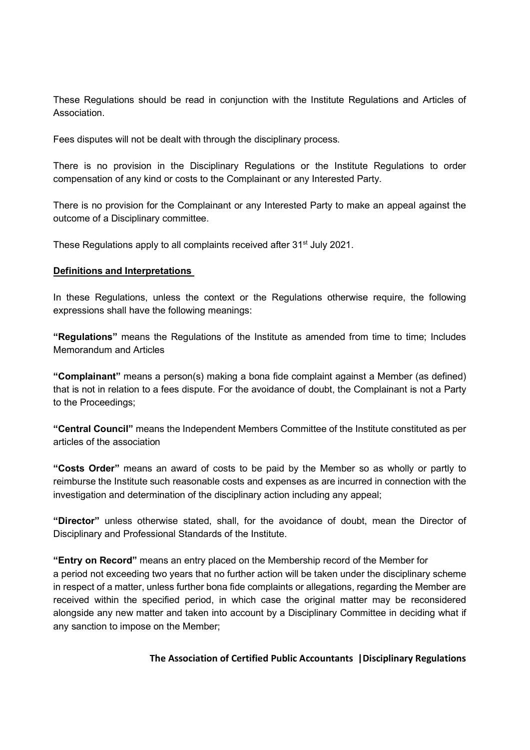These Regulations should be read in conjunction with the Institute Regulations and Articles of Association.

Fees disputes will not be dealt with through the disciplinary process.

There is no provision in the Disciplinary Regulations or the Institute Regulations to order compensation of any kind or costs to the Complainant or any Interested Party.

There is no provision for the Complainant or any Interested Party to make an appeal against the outcome of a Disciplinary committee.

These Regulations apply to all complaints received after 31<sup>st</sup> July 2021.

#### Definitions and Interpretations

In these Regulations, unless the context or the Regulations otherwise require, the following expressions shall have the following meanings:

"Regulations" means the Regulations of the Institute as amended from time to time; Includes Memorandum and Articles

"Complainant" means a person(s) making a bona fide complaint against a Member (as defined) that is not in relation to a fees dispute. For the avoidance of doubt, the Complainant is not a Party to the Proceedings;

"Central Council" means the Independent Members Committee of the Institute constituted as per articles of the association

"Costs Order" means an award of costs to be paid by the Member so as wholly or partly to reimburse the Institute such reasonable costs and expenses as are incurred in connection with the investigation and determination of the disciplinary action including any appeal;

"Director" unless otherwise stated, shall, for the avoidance of doubt, mean the Director of Disciplinary and Professional Standards of the Institute.

"Entry on Record" means an entry placed on the Membership record of the Member for a period not exceeding two years that no further action will be taken under the disciplinary scheme in respect of a matter, unless further bona fide complaints or allegations, regarding the Member are received within the specified period, in which case the original matter may be reconsidered alongside any new matter and taken into account by a Disciplinary Committee in deciding what if any sanction to impose on the Member;